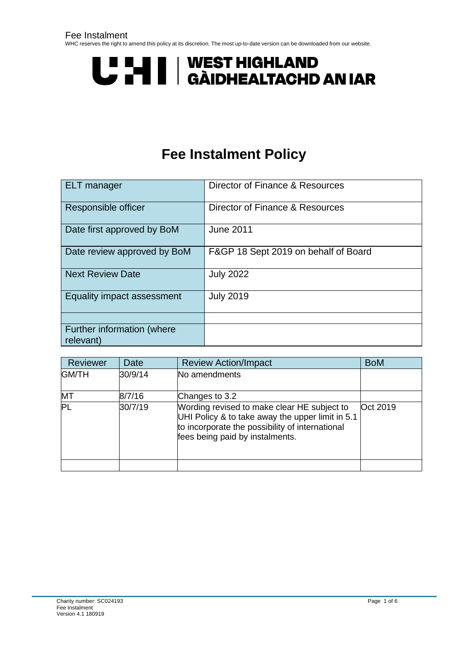# U HI | WEST HIGHLAND<br>U HI | GÀIDHEALTACHD AN IAR

# **Fee Instalment Policy**

<span id="page-0-0"></span>

| <b>ELT</b> manager                      | Director of Finance & Resources      |
|-----------------------------------------|--------------------------------------|
| Responsible officer                     | Director of Finance & Resources      |
| Date first approved by BoM              | <b>June 2011</b>                     |
| Date review approved by BoM             | F&GP 18 Sept 2019 on behalf of Board |
| <b>Next Review Date</b>                 | <b>July 2022</b>                     |
| Equality impact assessment              | <b>July 2019</b>                     |
|                                         |                                      |
| Further information (where<br>relevant) |                                      |

| Reviewer     | Date    | <b>Review Action/Impact</b>                                                                                                                                                           | <b>BoM</b> |
|--------------|---------|---------------------------------------------------------------------------------------------------------------------------------------------------------------------------------------|------------|
| <b>GM/TH</b> | 30/9/14 | No amendments                                                                                                                                                                         |            |
| MT           | 8/7/16  | Changes to 3.2                                                                                                                                                                        |            |
| PL           | 30/7/19 | Wording revised to make clear HE subject to<br>UHI Policy & to take away the upper limit in 5.1<br>to incorporate the possibility of international<br>fees being paid by instalments. | Oct 2019   |
|              |         |                                                                                                                                                                                       |            |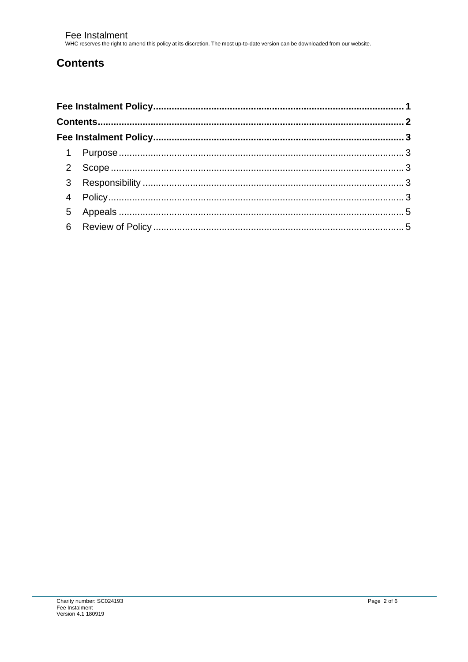## <span id="page-1-0"></span>**Contents**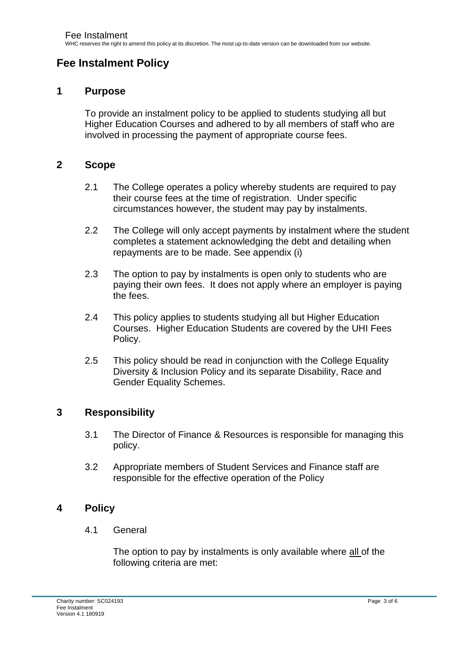### <span id="page-2-0"></span>**Fee Instalment Policy**

#### <span id="page-2-1"></span>**1 Purpose**

To provide an instalment policy to be applied to students studying all but Higher Education Courses and adhered to by all members of staff who are involved in processing the payment of appropriate course fees.

#### <span id="page-2-2"></span>**2 Scope**

- 2.1 The College operates a policy whereby students are required to pay their course fees at the time of registration. Under specific circumstances however, the student may pay by instalments.
- 2.2 The College will only accept payments by instalment where the student completes a statement acknowledging the debt and detailing when repayments are to be made. See appendix (i)
- 2.3 The option to pay by instalments is open only to students who are paying their own fees. It does not apply where an employer is paying the fees.
- 2.4 This policy applies to students studying all but Higher Education Courses. Higher Education Students are covered by the UHI Fees Policy.
- 2.5 This policy should be read in conjunction with the College Equality Diversity & Inclusion Policy and its separate Disability, Race and Gender Equality Schemes.

#### <span id="page-2-3"></span>**3 Responsibility**

- 3.1 The Director of Finance & Resources is responsible for managing this policy.
- 3.2 Appropriate members of Student Services and Finance staff are responsible for the effective operation of the Policy

#### <span id="page-2-4"></span>**4 Policy**

4.1 General

The option to pay by instalments is only available where all of the following criteria are met: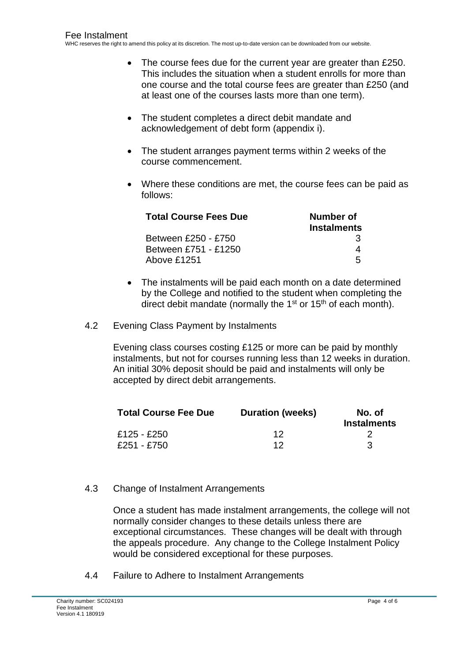- The course fees due for the current year are greater than £250. This includes the situation when a student enrolls for more than one course and the total course fees are greater than £250 (and at least one of the courses lasts more than one term).
- The student completes a direct debit mandate and acknowledgement of debt form (appendix i).
- The student arranges payment terms within 2 weeks of the course commencement.
- Where these conditions are met, the course fees can be paid as follows:

| <b>Total Course Fees Due</b> | Number of          |  |
|------------------------------|--------------------|--|
|                              | <b>Instalments</b> |  |
| Between £250 - £750          | 3                  |  |
| Between £751 - £1250         |                    |  |
| Above £1251                  | 5                  |  |

- The instalments will be paid each month on a date determined by the College and notified to the student when completing the direct debit mandate (normally the 1<sup>st</sup> or 15<sup>th</sup> of each month).
- 4.2 Evening Class Payment by Instalments

Evening class courses costing £125 or more can be paid by monthly instalments, but not for courses running less than 12 weeks in duration. An initial 30% deposit should be paid and instalments will only be accepted by direct debit arrangements.

| <b>Total Course Fee Due</b> | <b>Duration (weeks)</b> | No. of<br><b>Instalments</b> |
|-----------------------------|-------------------------|------------------------------|
| £125 - £250                 | 12                      |                              |
| £251 - £750                 | 12                      | З                            |

#### 4.3 Change of Instalment Arrangements

Once a student has made instalment arrangements, the college will not normally consider changes to these details unless there are exceptional circumstances. These changes will be dealt with through the appeals procedure. Any change to the College Instalment Policy would be considered exceptional for these purposes.

4.4 Failure to Adhere to Instalment Arrangements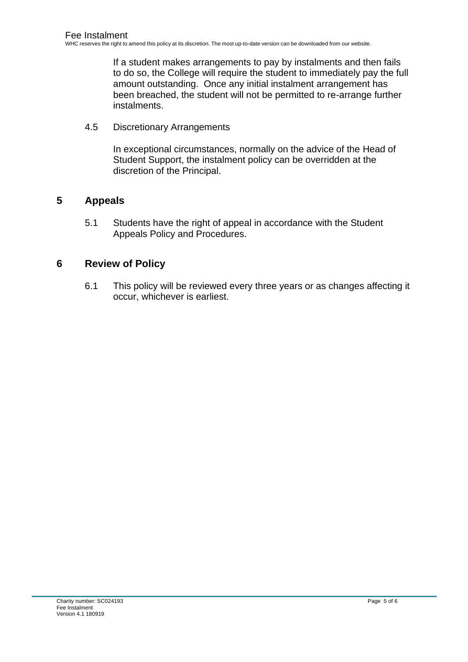If a student makes arrangements to pay by instalments and then fails to do so, the College will require the student to immediately pay the full amount outstanding. Once any initial instalment arrangement has been breached, the student will not be permitted to re-arrange further instalments.

4.5 Discretionary Arrangements

In exceptional circumstances, normally on the advice of the Head of Student Support, the instalment policy can be overridden at the discretion of the Principal.

#### <span id="page-4-0"></span>**5 Appeals**

5.1 Students have the right of appeal in accordance with the Student Appeals Policy and Procedures.

#### <span id="page-4-1"></span>**6 Review of Policy**

6.1 This policy will be reviewed every three years or as changes affecting it occur, whichever is earliest.